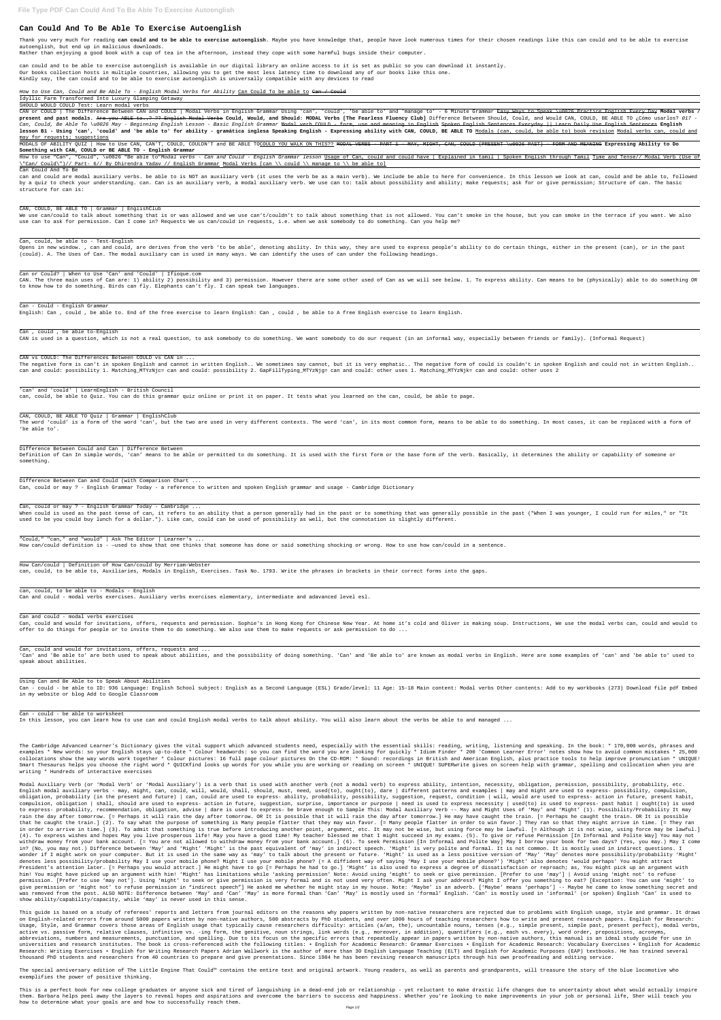# **Can Could And To Be Able To Exercise Autoenglish**

Thank you very much for reading **can could and to be able to exercise autoenglish**. Maybe you have knowledge that, people have look numerous times for their chosen readings like this can could and to be able to exercise autoenglish, but end up in malicious downloads.

Rather than enjoying a good book with a cup of tea in the afternoon, instead they cope with some harmful bugs inside their computer.

can could and to be able to exercise autoenglish is available in our digital library an online access to it is set as public so you can download it instantly. Our books collection hosts in multiple countries, allowing you to get the most less latency time to download any of our books like this one. Kindly say, the can could and to be able to exercise autoenglish is universally compatible with any devices to read

How to Use Can, Could and Be Able To - English Modal Verbs for Ability Can Could To be able to Can / Could

Idyllic Farm Transformed Into Luxury Glamping Getaway

SHOULD WOULD COULD Test: Learn modal verbs

CAN or COULD | The Difference Between CAN and COULD | Modal Verbs in English Grammar Using 'can', 'could', 'be able to' and 'manage to' - 6 Minute Grammar <del>Easy Ways to Speak \u0026 Practice English Every Day</del> Modal verbs - 27 Present and past modals. Are you ABLE to..? ?? English Modal Verbs Could, Would, and Should: MODAL Verbs [The Fearless Fluency Club] Difference Between Should, Could, and Would CAN, COULD, BE ABLE TO ¿Cómo usarlos? 01 Can, Could, Be Able To \u0026 May - Beginning English Lesson - Basic English Grammar Modal verb COULD - form, use and meaning in English Spoken English Sentences Everyday || Learn Daily Use English Sentences **English** lesson B1 - Using 'can', 'could' and 'be able to' for ability - gramática inglesa Speaking English - Expressing ability with CAN, COULD, BE ABLE TO Modals (can, could, be able to) book revision Modal verbs can, could and may for requests; suggestions

How to use "Can", "Could", \u0026 "Be able to"Modal verbs - Can and Could - English Grammar lesson Usage of Can, could and could have | Explained in tamil | Spoken English through Tamil Time and Tense// Modal Verb (Use of \"Can/ Could\")// Part- 6// By Dhirendra Yadav // English Grammar Modal Verbs [can \\ could \\ manage to \\ be able to]

Opens in new window. , can and could, are derives from the verb 'to be able', denoting ability. In this way, they are used to express people's ability to do certain things, either in the present (can), or in the past (could). A. The Uses of Can. The modal auxiliary can is used in many ways. We can identify the uses of can under the following headings.

MODALS OF ABILITY QUIZ | How to Use CAN, CAN'T, COULD, COULDN'T and BE ABLE TOCOULD YOU WALK ON THIS?? MODAL VERBS - PART 1 - MAY, MIGHT, CAN, COULD (PRESENT \u0026 PAST) - FORM AND MEANING **Expressing Ability to Do Something with CAN, COULD or BE ABLE TO - English Grammar**

#### Can Could And To Be

The word 'could' is a form of the word 'can', but the two are used in very different contexts. The word 'can', in its most common form, means to be able to do something. In most cases, it can be replaced with a form of 'be able to'.

can and could are modal auxiliary verbs. be able to is NOT an auxiliary verb (it uses the verb be as a main verb). We include be able to here for convenience. In this lesson we look at can, could and be able to, followed by a quiz to check your understanding. can. Can is an auxiliary verb, a modal auxiliary verb. We use can to: talk about possibility and ability; make requests; ask for or give permission; Structure of can. The basic structure for can is:

#### CAN, COULD, BE ABLE TO | Grammar | EnglishClub

We use can/could to talk about something that is or was allowed and we use can't/couldn't to talk about something that is not allowed. You can't smoke in the house, but you can smoke in the terrace if you want. We also use can to ask for permission. Can I come in? Requests We us can/could in requests, i.e. when we ask somebody to do something. Can you help me?

#### Can, could, be able to - Test-English

#### Can or Could? | When to Use 'Can' and 'Could' | Ifioque.com

CAN. The three main uses of Can are: 1) ability 2) possibility and 3) permission. However there are some other used of Can as we will see below. 1. To express ability. Can means to be (physically) able to do something OR to know how to do something. Birds can fly. Elephants can't fly. I can speak two languages.

## Can - Could - English Grammar

English: Can , could , be able to. End of the free exercise to learn English: Can , could , be able to A free English exercise to learn English.

Can , could , be able to-English

CAN is used in a question, which is not a real question, to ask somebody to do something. We want somebody to do our request (in an informal way, especially between friends or family). (Informal Request)

CAN vs COULD: The Differences Between COULD vs CAN in ...

The negative form is can't in spoken English and cannot in written English.. We sometimes say cannot, but it is very emphatic.. The negative form of could is couldn't in spoken English and could not in written English.. can and could: possibility 1. Matching\_MTYzNjc= can and could: possibility 2. GapFillTyping\_MTYzNjg= can and could: other uses 1. Matching\_MTYzNjk= can and could: other uses 2

'can' and 'could' | LearnEnglish - British Council

can, could, be able to Quiz. You can do this grammar quiz online or print it on paper. It tests what you learned on the can, could, be able to page.

#### CAN, COULD, BE ABLE TO Quiz | Grammar | EnglishClub

#### Difference Between Could and Can | Difference Between

Definition of Can In simple words, 'can' means to be able or permitted to do something. It is used with the first form or the base form of the verb. Basically, it determines the ability or capability of someone or something.

Difference Between Can and Could (with Comparison Chart ...

Can, could or may ? - English Grammar Today - a reference to written and spoken English grammar and usage - Cambridge Dictionary

Can, could or may ? - English Grammar Today - Cambridge ...

When could is used as the past tense of can, it refers to an ability that a person generally had in the past or to something that was generally possible in the past ("When I was younger, I could run for miles," or "It used to be you could buy lunch for a dollar."). Like can, could can be used of possibility as well, but the connotation is slightly different.

"Could," "can," and "would" | Ask The Editor | Learner's ...

How can/could definition is - —used to show that one thinks that someone has done or said something shocking or wrong. How to use how can/could in a sentence.

How Can/could | Definition of How Can/could by Merriam-Webster

can, could, to be able to, Auxiliaries, Modals in English, Exercises. Task No. 1793. Write the phrases in brackets in their correct forms into the gaps.

can, could, to be able to - Modals - English

Can and could - modal verbs exercises. Auxiliary verbs exercises elementary, intermediate and adavanced level esl.

Can and could - modal verbs exercises

Can, could and would for invitations, offers, requests and permission. Sophie's in Hong Kong for Chinese New Year. At home it's cold and Oliver is making soup. Instructions, We use the modal verbs can, could and would to offer to do things for people or to invite them to do something. We also use them to make requests or ask permission to do ...

Can, could and would for invitations, offers, requests and ...

'Can' and 'Be able to' are both used to speak about abilities, and the possibility of doing something. 'Can' and 'Be able to' are known as modal verbs in English. Here are some examples of 'can' and 'be able to' used to speak about abilities.

## Using Can and Be Able to to Speak About Abilities

Can - could - be able to ID: 936 Language: English School subject: English as a Second Language (ESL) Grade/level: 11 Age: 15-18 Main content: Modal verbs Other contents: Add to my workbooks (273) Download file pdf Embed in my website or blog Add to Google Classroom

Can - could - be able to worksheet

In this lesson, you can learn how to use can and could English modal verbs to talk about ability. You will also learn about the verbs be able to and managed ...

The Cambridge Advanced Learner's Dictionary gives the vital support which advanced students need, especially with the essential skills: reading, writing, listening and speaking. In the book: \* 170,000 words, phrases and examples \* New words: so your English stays up-to-date \* Colour headwords: so you can find the word you are looking for quickly \* Idiom Finder \* 200 'Common Learner Error' notes show how to avoid common mistakes \* 25,000 collocations show the way words work together \* Colour pictures: 16 full page colour pictures On the CD-ROM: \* Sound: recordings in British and American English, plus practice tools to help improve pronunciation \* UNIQUE! Smart Thesaurus helps you choose the right word \* QUICKfind looks up words for you while you are working or reading on screen \* UNIQUE! SUPERwrite gives on screen help with grammar, spelling and collocation when you are

#### writing \* Hundreds of interactive exercises

Modal Auxiliary Verb (or 'Modal Verb' or 'Modal Auxiliary') is a verb that is used with another verb (not a modal verb) to express ability, intention, necessity, obligation, permission, possibility, probability, etc. English modal auxiliary verbs - may, might, can, could, will, would, shall, should, must, need, used(to), ought(to), dare | different patterns and examples | may and might are used to express- possibility, compulsion, obligation, probability (in the present and future) | can, could are used to express- ability, probability, possibility, suggestion, request, condition | will, would are used to express- action in future, present habit, compulsion, obligation | shall, should are used to express- action in future, suggestion, surprise, importance or purpose | need is used to express necessity | used(to) is used to express- past habit | ought(to) is used to express- probability, recommendation, obligation, advise | dare is used to express– be brave enough to Sample This: Modal Auxiliary Verb -- May and Might Uses of 'May' and 'Might' (1). Possibility/Probability It may rain the day after tomorrow. [= Perhaps it will rain the day after tomorrow. OR It is possible that it will rain the day after tomorrow.] He may have caught the train. [= Perhaps he caught the train. OR It is possible that he caught the train.] (2). To say what the purpose of something is Many people flatter that they may win favor. [= Many people flatter in order to win favor.] They ran so that they might arrive in time. [= They ran in order to arrive in time.] (3). To admit that something is true before introducing another point, argument, etc. It may not be wise, but using force may be lawful. [= Although it is not wise, using force may be lawful.] (4). To express wishes and hopes May you live prosperous life! May you have a good time! My teacher blessed me that I might succeed in my exams. (5). To give or refuse Permission [In Informal and Polite Way] You may not withdraw money from your bank account. [= You are not allowed to withdraw money from your bank account.] (6). To seek Permission [In Informal and Polite Way] May I borrow your book for two days? (Yes, you may.) May I come in? (No, you may not.) Difference between 'May' and 'Might' 'Might' is the past equivalent of 'may' in indirect speech. 'Might' is very polite and formal. It is not common. It is mostly used in indirect questions. I wonder if I might work on your computer. But it is used in the same way as 'may' to talk about the present or future. 'Might' is used as a less positive version of 'May' 'May' denotes more possibility/probability 'Might' denotes less possibility/probability May I use your mobile phone? Might I use your mobile way of saying 'May I use your mobile phone?') 'Might' also denotes 'would perhaps' You might attract President's attention later. [= Perhaps you would attract.] He might have to go [= Perhaps he had to go.] 'Might' is also used to express a degree of dissatisfaction or reproach; as, You might pick up an argument with him! You might have picked up an argument with him! 'Might' has limitations while 'asking permission' Note: Avoid using 'might' to seek or give permission. [Prefer to use 'may'] | Avoid using 'might not' to refuse permission. [Prefer to use 'may not']. Using 'might' to seek or give permission is very formal and is not used very often. Might I ask your address? Might I offer you something to eat? [Exception: You can use 'might' to give permission or 'might not' to refuse permission in "indirect speech"] He asked me whether he might stay in my house. Note: 'Maybe' is an adverb. ['Maybe' means 'perhaps'] -- Maybe he came to know something secret and was removed from the post. ALSO NOTE: Difference between 'May' and 'Can' 'May' is more formal than 'Can' 'May' is mostly used in 'formal' English. 'Can' is mostly used in 'informal' (or spoken) English 'Can' is used to show ability/capability/capacity, while 'may' is never used in this sense.

This guide is based on a study of referees' reports and letters from journal editors on the reasons why papers written by non-native researchers are rejected due to problems with English usage, style and grammar. It draws on English-related errors from around 5000 papers written by non-native authors, 500 abstracts by PhD students, and over 1000 hours of teaching researchers how to write and present research papers. English for Research: Usage, Style, and Grammar covers those areas of English usage that typically cause researchers difficulty: articles (a/an, the), uncountable nouns, tenses (e.g., simple present, simple past, present perfect), modal verbs, active vs. passive form, relative clauses, infinitive vs. -ing form, the genitive, noun strings, link words (e.g., moreover, in addition), quantifiers (e.g., each vs. every), word order, prepositions, acronyms, abbreviations, numbers and measurements, punctuation, and spelling. Due to its focus on the specific errors that repeatedly appear in papers written by non-native authors, this manual is an ideal study guide for use in universities and research institutes. The book is cross-referenced with the following titles: • English for Academic Research: Grammar Exercises • English for Academic Research: Vocabulary Exercises • English for Academic Research: Writing Exercises • English for Writing Research Papers Adrian Wallwork is the author of more than 30 English Language Teaching (ELT) and English for Academic Purposes (EAP) textbooks. He has trained several thousand PhD students and researchers from 40 countries to prepare and give presentations. Since 1984 he has been revising research manuscripts through his own proofreading and editing service.

The special anniversary edition of The Little Engine That Could™ contains the entire text and original artwork. Young readers, as well as parents and grandparents, will treasure the story of the blue locomotive who exemplifies the power of positive thinking.

This is a perfect book for new college graduates or anyone sick and tired of languishing in a dead-end job or relationship - yet reluctant to make drastic life changes due to uncertainty about what would actually inspire them. Barbara helps peel away the layers to reveal hopes and aspirations and overcome the barriers to success and happiness. Whether you're looking to make improvements in your job or personal life, Sher will teach you how to determine what your goals are and how to successfully reach them.